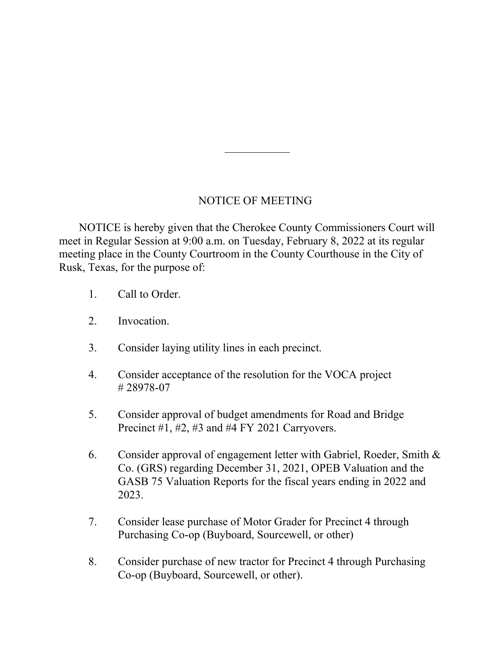## NOTICE OF MEETING

 NOTICE is hereby given that the Cherokee County Commissioners Court will meet in Regular Session at 9:00 a.m. on Tuesday, February 8, 2022 at its regular meeting place in the County Courtroom in the County Courthouse in the City of Rusk, Texas, for the purpose of:

- 1. Call to Order.
- 2. Invocation.
- 3. Consider laying utility lines in each precinct.
- 4. Consider acceptance of the resolution for the VOCA project # 28978-07
- 5. Consider approval of budget amendments for Road and Bridge Precinct #1, #2, #3 and #4 FY 2021 Carryovers.
- 6. Consider approval of engagement letter with Gabriel, Roeder, Smith & Co. (GRS) regarding December 31, 2021, OPEB Valuation and the GASB 75 Valuation Reports for the fiscal years ending in 2022 and 2023.
- 7. Consider lease purchase of Motor Grader for Precinct 4 through Purchasing Co-op (Buyboard, Sourcewell, or other)
- 8. Consider purchase of new tractor for Precinct 4 through Purchasing Co-op (Buyboard, Sourcewell, or other).